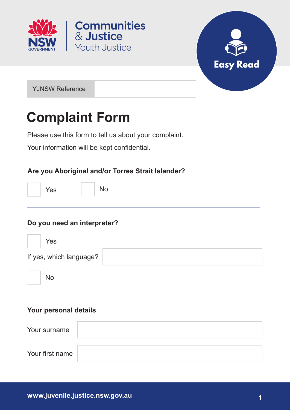



YJNSW Reference

# **Complaint Form**

Please use this form to tell us about your complaint.

**Communities** 

& Justice

**Youth Justice** 

Your information will be kept confidential.

#### **Are you Aboriginal and/or Torres Strait Islander?**

Yes No

#### **Do you need an interpreter?**

| Yes                     |  |
|-------------------------|--|
| If yes, which language? |  |
| No                      |  |

#### **Your personal details**

| Your surname    |  |
|-----------------|--|
| Your first name |  |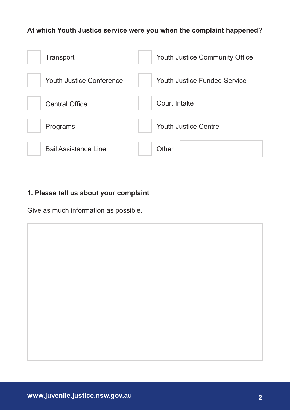#### **At which Youth Justice service were you when the complaint happened?**

| <b>Transport</b>                | <b>Youth Justice Community Office</b> |
|---------------------------------|---------------------------------------|
| <b>Youth Justice Conference</b> | <b>Youth Justice Funded Service</b>   |
| <b>Central Office</b>           | Court Intake                          |
| Programs                        | <b>Youth Justice Centre</b>           |
| <b>Bail Assistance Line</b>     | Other                                 |
|                                 |                                       |

### **1. Please tell us about your complaint**

Give as much information as possible.

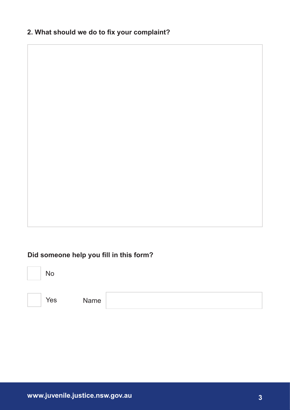#### **2. What should we do to fix your complaint?**

#### **Did someone help you fill in this form?**





Yes Name

**www.juvenile.justice.nsw.gov.au 3**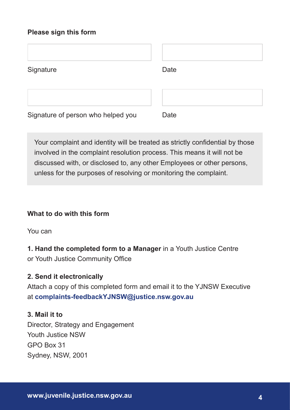#### **Please sign this form**

| Signature                          | Date |
|------------------------------------|------|
|                                    |      |
| Signature of person who helped you | Date |

Your complaint and identity will be treated as strictly confidential by those involved in the complaint resolution process. This means it will not be discussed with, or disclosed to, any other Employees or other persons, unless for the purposes of resolving or monitoring the complaint.

#### **What to do with this form**

You can

**1. Hand the completed form to a Manager** in a Youth Justice Centre or Youth Justice Community Office

#### **2. Send it electronically**

Attach a copy of this completed form and email it to the YJNSW Executive at **complaints-feedbackYJNSW@justice.nsw.gov.au**

#### **3. Mail it to**

Director, Strategy and Engagement Youth Justice NSW GPO Box 31 Sydney, NSW, 2001